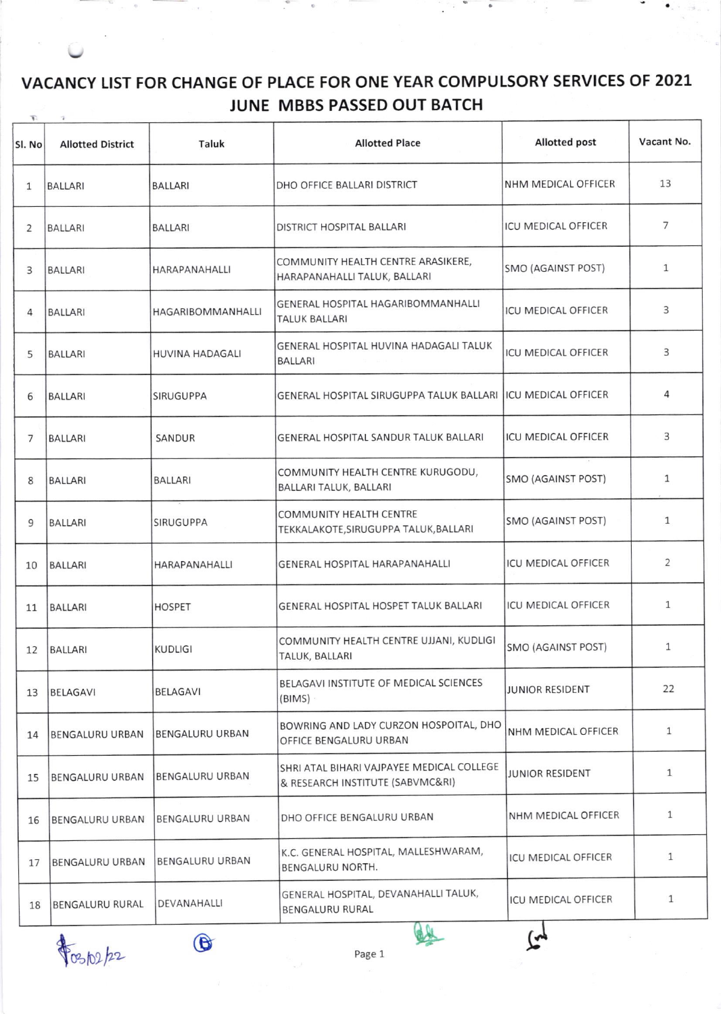## VACANCY LIST FOR CHANGE OF PLACE FOR ONE YEAR COMPULSORY SERVICES OF 2O2L JUNE MBBS PASSED OUT BATCH

| Sl. No         | <b>Allotted District</b> | Taluk                  | <b>Allotted Place</b>                                                         | Allotted post              | Vacant No.     |
|----------------|--------------------------|------------------------|-------------------------------------------------------------------------------|----------------------------|----------------|
| $\mathbf{1}$   | <b>BALLARI</b>           | <b>BALLARI</b>         | DHO OFFICE BALLARI DISTRICT                                                   | NHM MEDICAL OFFICER        | 13             |
| 2              | <b>BALLARI</b>           | <b>BALLARI</b>         | DISTRICT HOSPITAL BALLARI                                                     | <b>ICU MEDICAL OFFICER</b> | 7              |
| 3              | <b>BALLARI</b>           | HARAPANAHALLI          | COMMUNITY HEALTH CENTRE ARASIKERE,<br>HARAPANAHALLI TALUK, BALLARI            | SMO (AGAINST POST)         | $\mathbf{1}$   |
| 4              | <b>BALLARI</b>           | HAGARIBOMMANHALLI      | GENERAL HOSPITAL HAGARIBOMMANHALLI<br><b>TALUK BALLARI</b>                    | <b>ICU MEDICAL OFFICER</b> | 3              |
| 5              | <b>BALLARI</b>           | <b>HUVINA HADAGALI</b> | GENERAL HOSPITAL HUVINA HADAGALI TALUK<br><b>BALLARI</b>                      | <b>ICU MEDICAL OFFICER</b> | 3              |
| 6              | <b>BALLARI</b>           | <b>SIRUGUPPA</b>       | GENERAL HOSPITAL SIRUGUPPA TALUK BALLARI ICU MEDICAL OFFICER                  |                            | 4              |
| $\overline{7}$ | <b>BALLARI</b>           | SANDUR                 | <b>GENERAL HOSPITAL SANDUR TALUK BALLARI</b>                                  | <b>ICU MEDICAL OFFICER</b> | 3              |
| 8              | <b>BALLARI</b>           | <b>BALLARI</b>         | COMMUNITY HEALTH CENTRE KURUGODU,<br>BALLARI TALUK, BALLARI                   | SMO (AGAINST POST)         | $\mathbf{1}$   |
| 9              | <b>BALLARI</b>           | <b>SIRUGUPPA</b>       | <b>COMMUNITY HEALTH CENTRE</b><br>TEKKALAKOTE, SIRUGUPPA TALUK, BALLARI       | SMO (AGAINST POST)         | $\mathbf{1}$   |
| 10             | <b>BALLARI</b>           | HARAPANAHALLI          | GENERAL HOSPITAL HARAPANAHALLI                                                | <b>ICU MEDICAL OFFICER</b> | $\overline{2}$ |
| 11             | <b>BALLARI</b>           | <b>HOSPET</b>          | GENERAL HOSPITAL HOSPET TALUK BALLARI                                         | ICU MEDICAL OFFICER        | $\mathbf{1}$   |
| 12             | BALLARI                  | <b>KUDLIGI</b>         | COMMUNITY HEALTH CENTRE UJJANI, KUDLIGI<br>TALUK, BALLARI                     | SMO (AGAINST POST)         | $\mathbf{1}$   |
| 13             | <b>BELAGAVI</b>          | BELAGAVI               | BELAGAVI INSTITUTE OF MEDICAL SCIENCES<br>(BIMS)                              | <b>JUNIOR RESIDENT</b>     | 22             |
| 14             | BENGALURU URBAN          | <b>BENGALURU URBAN</b> | BOWRING AND LADY CURZON HOSPOITAL, DHO<br>OFFICE BENGALURU URBAN              | NHM MEDICAL OFFICER        | $\mathbf{1}$   |
| 15             | <b>BENGALURU URBAN</b>   | <b>BENGALURU URBAN</b> | SHRI ATAL BIHARI VAJPAYEE MEDICAL COLLEGE<br>& RESEARCH INSTITUTE (SABVMC&RI) | JUNIOR RESIDENT            | $\mathbf{1}$   |
| 16             | <b>BENGALURU URBAN</b>   | <b>BENGALURU URBAN</b> | DHO OFFICE BENGALURU URBAN                                                    | NHM MEDICAL OFFICER        | $\mathbf{1}$   |
| 17             | BENGALURU URBAN          | BENGALURU URBAN        | K.C. GENERAL HOSPITAL, MALLESHWARAM,<br>BENGALURU NORTH.                      | ICU MEDICAL OFFICER        | $\mathbf{1}$   |
| 18             | BENGALURU RURAL          | DEVANAHALLI            | GENERAL HOSPITAL, DEVANAHALLI TALUK,<br>BENGALURU RURAL                       | ICU MEDICAL OFFICER        | $\mathbf{1}$   |
|                |                          | $\bigcirc$             |                                                                               | (پم                        |                |

 $\frac{1}{\sqrt{2}}$   $\frac{1}{\sqrt{2}}$  Page 1